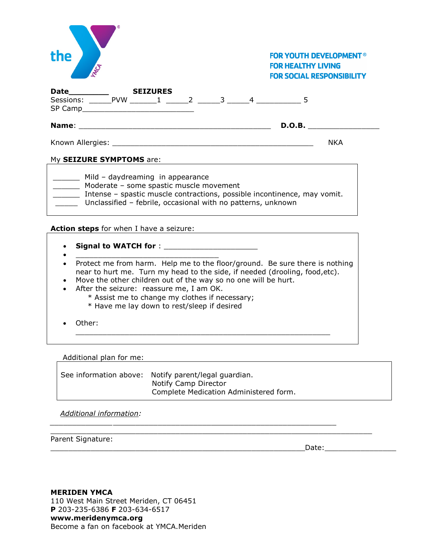| the                                                                                                                                                                                                                                                                                                                                                                                    | <b>FOR YOUTH DEVELOPMENT<sup>®</sup></b><br><b>FOR HEALTHY LIVING</b><br><b>FOR SOCIAL RESPONSIBILITY</b> |  |  |  |  |  |
|----------------------------------------------------------------------------------------------------------------------------------------------------------------------------------------------------------------------------------------------------------------------------------------------------------------------------------------------------------------------------------------|-----------------------------------------------------------------------------------------------------------|--|--|--|--|--|
| <b>SEIZURES</b><br>Date__________                                                                                                                                                                                                                                                                                                                                                      |                                                                                                           |  |  |  |  |  |
|                                                                                                                                                                                                                                                                                                                                                                                        |                                                                                                           |  |  |  |  |  |
|                                                                                                                                                                                                                                                                                                                                                                                        | <b>NKA</b>                                                                                                |  |  |  |  |  |
| My SEIZURE SYMPTOMS are: Management Control of the Symphony of the Symphony of the Symphony of the Symphony of the Symphony of the Symphony of the Symphony of the Symphony of the Symphony of the Symphony of the Symphony of                                                                                                                                                         |                                                                                                           |  |  |  |  |  |
| ________ Mild - daydreaming in appearance<br>________ Moderate - some spastic muscle movement<br>Intense - spastic muscle contractions, possible incontinence, may vomit.<br>Unclassified - febrile, occasional with no patterns, unknown                                                                                                                                              |                                                                                                           |  |  |  |  |  |
| Action steps for when I have a seizure:<br>and the seizure:<br>The sensitive of the set of the set of the set of the set of the set of the set of the set of the set of the set of the set of the set of the set of the set of the                                                                                                                                                     |                                                                                                           |  |  |  |  |  |
|                                                                                                                                                                                                                                                                                                                                                                                        |                                                                                                           |  |  |  |  |  |
| Protect me from harm. Help me to the floor/ground. Be sure there is nothing<br>$\bullet$<br>near to hurt me. Turn my head to the side, if needed (drooling, food, etc).<br>Move the other children out of the way so no one will be hurt.<br>After the seizure: reassure me, I am OK.<br>* Assist me to change my clothes if necessary;<br>* Have me lay down to rest/sleep if desired |                                                                                                           |  |  |  |  |  |
| Other:                                                                                                                                                                                                                                                                                                                                                                                 |                                                                                                           |  |  |  |  |  |
|                                                                                                                                                                                                                                                                                                                                                                                        |                                                                                                           |  |  |  |  |  |

Additional plan for me:

See information above: Notify parent/legal guardian. Notify Camp Director Complete Medication Administered form.

*\_\_\_\_\_\_\_\_\_\_\_\_\_\_*\_\_\_\_\_\_\_\_\_\_\_\_\_\_\_\_\_\_\_\_\_\_\_\_\_\_\_\_\_\_\_\_\_\_\_\_\_\_\_\_\_\_\_\_\_\_\_\_\_\_

 $\overline{\phantom{a}}$  ,  $\overline{\phantom{a}}$  ,  $\overline{\phantom{a}}$  ,  $\overline{\phantom{a}}$  ,  $\overline{\phantom{a}}$  ,  $\overline{\phantom{a}}$  ,  $\overline{\phantom{a}}$  ,  $\overline{\phantom{a}}$  ,  $\overline{\phantom{a}}$  ,  $\overline{\phantom{a}}$  ,  $\overline{\phantom{a}}$  ,  $\overline{\phantom{a}}$  ,  $\overline{\phantom{a}}$  ,  $\overline{\phantom{a}}$  ,  $\overline{\phantom{a}}$  ,  $\overline{\phantom{a}}$ 

*Additional information:*

Parent Signature:

\_\_\_\_\_\_\_\_\_\_\_\_\_\_\_\_\_\_\_\_\_\_\_\_\_\_\_\_\_\_\_\_\_\_\_\_\_\_\_\_\_\_\_\_\_\_\_\_\_\_\_\_\_\_\_\_\_Date:\_\_\_\_\_\_\_\_\_\_\_\_\_\_\_\_

**MERIDEN YMCA** 110 West Main Street Meriden, CT 06451 **P** 203-235-6386 **F** 203-634-6517 **[www.meridenymca.org](http://www.meridenymca.org/)** Become a fan on facebook at YMCA.Meriden